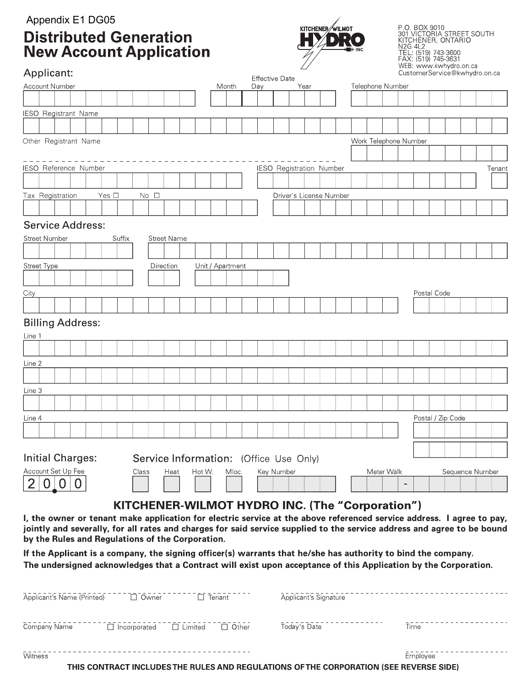## Appendix E1 DG05 **Distributed Generation<br>New Account Application**



P.O. BOX 9010<br>301 VICTORIA STREET SOUTH<br>KITCHENER, ONTARIO<br>N2G 4L2<br>TEL: (519) 743-3600<br>FAX: (519) 745-3631<br>WEB: www.krying@lyubudto.or.ca

| Applicant:                                                                                                                                                                  |                  |     |                       | $\mathcal{\mathcal{L}}$         |  |                       |            |  |                   | WEB: www.kwnydro.on.ca<br>CustomerService@kwhydro.on.ca |        |
|-----------------------------------------------------------------------------------------------------------------------------------------------------------------------------|------------------|-----|-----------------------|---------------------------------|--|-----------------------|------------|--|-------------------|---------------------------------------------------------|--------|
| <b>Account Number</b>                                                                                                                                                       | Month            | Day | <b>Effective Date</b> | Year                            |  | Telephone Number      |            |  |                   |                                                         |        |
|                                                                                                                                                                             |                  |     |                       |                                 |  |                       |            |  |                   |                                                         |        |
| <b>IESO Registrant Name</b>                                                                                                                                                 |                  |     |                       |                                 |  |                       |            |  |                   |                                                         |        |
|                                                                                                                                                                             |                  |     |                       |                                 |  |                       |            |  |                   |                                                         |        |
| Other Registrant Name                                                                                                                                                       |                  |     |                       |                                 |  | Work Telephone Number |            |  |                   |                                                         |        |
|                                                                                                                                                                             |                  |     |                       |                                 |  |                       |            |  |                   |                                                         |        |
| IESO Reference Number                                                                                                                                                       |                  |     |                       | <b>IESO Registration Number</b> |  |                       |            |  |                   |                                                         | Tenant |
|                                                                                                                                                                             |                  |     |                       |                                 |  |                       |            |  |                   |                                                         |        |
| Tax Registration<br>Yes $\square$<br>No <sub>1</sub>                                                                                                                        |                  |     |                       | Driver's License Number         |  |                       |            |  |                   |                                                         |        |
|                                                                                                                                                                             |                  |     |                       |                                 |  |                       |            |  |                   |                                                         |        |
|                                                                                                                                                                             |                  |     |                       |                                 |  |                       |            |  |                   |                                                         |        |
| <b>Service Address:</b>                                                                                                                                                     |                  |     |                       |                                 |  |                       |            |  |                   |                                                         |        |
| <b>Street Number</b><br><b>Street Name</b><br>Suffix                                                                                                                        |                  |     |                       |                                 |  |                       |            |  |                   |                                                         |        |
|                                                                                                                                                                             |                  |     |                       |                                 |  |                       |            |  |                   |                                                         |        |
| <b>Street Type</b><br>Direction                                                                                                                                             | Unit / Apartment |     |                       |                                 |  |                       |            |  |                   |                                                         |        |
|                                                                                                                                                                             |                  |     |                       |                                 |  |                       |            |  |                   |                                                         |        |
| City                                                                                                                                                                        |                  |     |                       |                                 |  |                       |            |  | Postal Code       |                                                         |        |
|                                                                                                                                                                             |                  |     |                       |                                 |  |                       |            |  |                   |                                                         |        |
| <b>Billing Address:</b>                                                                                                                                                     |                  |     |                       |                                 |  |                       |            |  |                   |                                                         |        |
| Line 1                                                                                                                                                                      |                  |     |                       |                                 |  |                       |            |  |                   |                                                         |        |
|                                                                                                                                                                             |                  |     |                       |                                 |  |                       |            |  |                   |                                                         |        |
| Line 2                                                                                                                                                                      |                  |     |                       |                                 |  |                       |            |  |                   |                                                         |        |
|                                                                                                                                                                             |                  |     |                       |                                 |  |                       |            |  |                   |                                                         |        |
| Line 3                                                                                                                                                                      |                  |     |                       |                                 |  |                       |            |  |                   |                                                         |        |
|                                                                                                                                                                             |                  |     |                       |                                 |  |                       |            |  |                   |                                                         |        |
| Line 4                                                                                                                                                                      |                  |     |                       |                                 |  |                       |            |  | Postal / Zip Code |                                                         |        |
|                                                                                                                                                                             |                  |     |                       |                                 |  |                       |            |  |                   |                                                         |        |
|                                                                                                                                                                             |                  |     |                       |                                 |  |                       |            |  |                   |                                                         |        |
| <b>Initial Charges:</b><br><b>Service Information:</b> (Office Use Only)                                                                                                    |                  |     |                       |                                 |  |                       |            |  |                   |                                                         |        |
| Account Set Up Fee<br>Class<br>Heat<br>Hot W.                                                                                                                               | Mloc.            |     | Key Number            |                                 |  |                       | Meter Walk |  |                   | Sequence Number                                         |        |
|                                                                                                                                                                             |                  |     |                       |                                 |  |                       |            |  |                   |                                                         |        |
|                                                                                                                                                                             |                  |     |                       |                                 |  |                       |            |  |                   |                                                         |        |
| KITCHENER-WILMOT HYDRO INC. (The "Corporation")                                                                                                                             |                  |     |                       |                                 |  |                       |            |  |                   |                                                         |        |
| I, the owner or tenant make application for electric service at the above referenced service address. I agree to pay,                                                       |                  |     |                       |                                 |  |                       |            |  |                   |                                                         |        |
| jointly and severally, for all rates and charges for said service supplied to the service address and agree to be bound<br>by the Rules and Regulations of the Corporation. |                  |     |                       |                                 |  |                       |            |  |                   |                                                         |        |
| If the Applicant is a company the signing officer(s) warrants that he/she has authority to hind the company                                                                 |                  |     |                       |                                 |  |                       |            |  |                   |                                                         |        |

It the Applicant is a company, the signing officer(s) warrants that he/she has authority to bind the company. The undersigned acknowledges that a Contract will exist upon acceptance of this Application by the Corporation.

| Applicant's Name (Printed) | $\Box$ Owner        | Tenant<br>$\Box$               | Applicant's Signature |          |
|----------------------------|---------------------|--------------------------------|-----------------------|----------|
| Company Name               | $\Box$ Incorporated | $\Box$ Limited<br>$\Box$ Other | Today's Date          | Time     |
| Witness                    |                     |                                |                       | Employee |

THIS CONTRACT INCLUDES THE RULES AND REGULATIONS OF THE CORPORATION (SEE REVERSE SIDE)